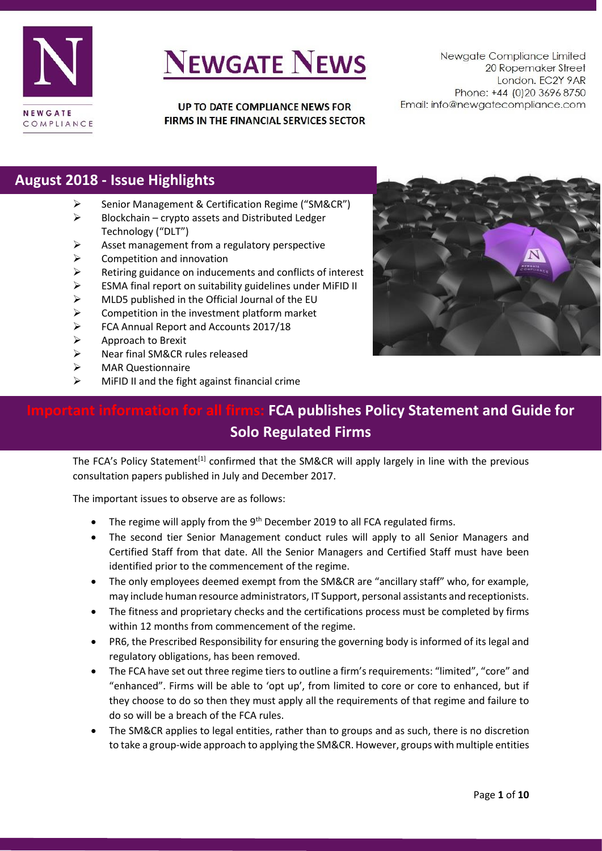

UP TO DATE COMPLIANCE NEWS FOR FIRMS IN THE FINANCIAL SERVICES SECTOR

Newgate Compliance Limited 20 Ropemaker Street London. EC2Y 9AR Phone: +44 (0)20 3696 8750 Email: info@newgatecompliance.com

#### **August 2018 - Issue Highlights**

- ➢ Senior Management & Certification Regime ("SM&CR")
- $\triangleright$  Blockchain crypto assets and Distributed Ledger Technology ("DLT")
- ➢ Asset management from a regulatory perspective
- $\triangleright$  Competition and innovation
- ➢ Retiring guidance on inducements and conflicts of interest
- $\triangleright$  ESMA final report on suitability guidelines under MiFID II
- $\triangleright$  MLD5 published in the Official Journal of the EU
- $\triangleright$  Competition in the investment platform market
- ➢ FCA Annual Report and Accounts 2017/18
- ➢ Approach to Brexit
- ➢ Near final SM&CR rules released
- ➢ MAR Questionnaire
- $\triangleright$  MiFID II and the fight against financial crime



## **Important information for all firms: FCA publishes Policy Statement and Guide for Solo Regulated Firms**

The FCA's Policy Statement<sup>[1]</sup> confirmed that the SM&CR will apply largely in line with the previous consultation papers published in July and December 2017.

The important issues to observe are as follows:

- The regime will apply from the 9<sup>th</sup> December 2019 to all FCA regulated firms.
- The second tier Senior Management conduct rules will apply to all Senior Managers and Certified Staff from that date. All the Senior Managers and Certified Staff must have been identified prior to the commencement of the regime.
- The only employees deemed exempt from the SM&CR are "ancillary staff" who, for example, may include human resource administrators, IT Support, personal assistants and receptionists.
- The fitness and proprietary checks and the certifications process must be completed by firms within 12 months from commencement of the regime.
- PR6, the Prescribed Responsibility for ensuring the governing body is informed of its legal and regulatory obligations, has been removed.
- The FCA have set out three regime tiers to outline a firm's requirements: "limited", "core" and "enhanced". Firms will be able to 'opt up', from limited to core or core to enhanced, but if they choose to do so then they must apply all the requirements of that regime and failure to do so will be a breach of the FCA rules.
- The SM&CR applies to legal entities, rather than to groups and as such, there is no discretion to take a group-wide approach to applying the SM&CR. However, groups with multiple entities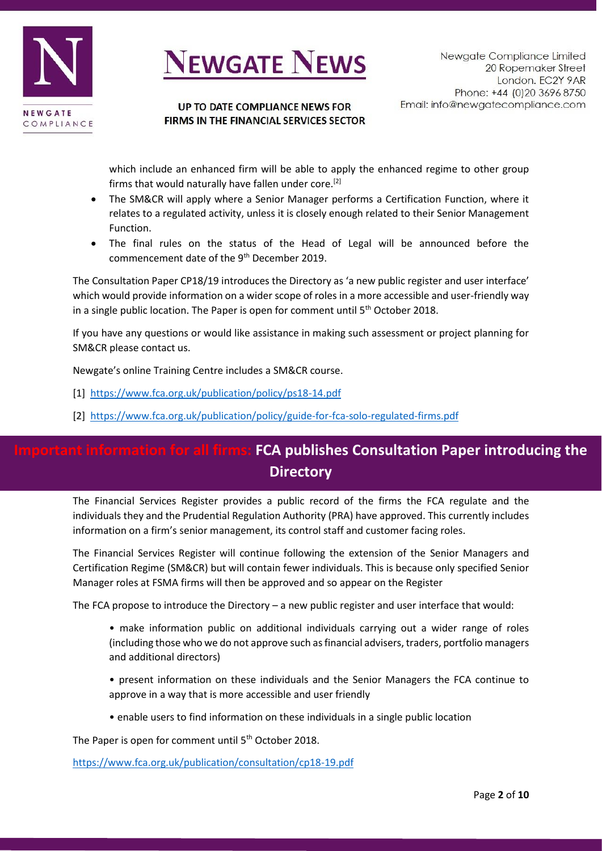

#### UP TO DATE COMPLIANCE NEWS FOR FIRMS IN THE FINANCIAL SERVICES SECTOR

which include an enhanced firm will be able to apply the enhanced regime to other group firms that would naturally have fallen under core.<sup>[2]</sup>

- The SM&CR will apply where a Senior Manager performs a Certification Function, where it relates to a regulated activity, unless it is closely enough related to their Senior Management Function.
- The final rules on the status of the Head of Legal will be announced before the commencement date of the 9<sup>th</sup> December 2019.

The Consultation Paper CP18/19 introduces the Directory as 'a new public register and user interface' which would provide information on a wider scope of roles in a more accessible and user-friendly way in a single public location. The Paper is open for comment until 5<sup>th</sup> October 2018.

If you have any questions or would like assistance in making such assessment or project planning for SM&CR please contact us.

Newgate's online Training Centre includes a SM&CR course.

[1] <https://www.fca.org.uk/publication/policy/ps18-14.pdf>

[2] <https://www.fca.org.uk/publication/policy/guide-for-fca-solo-regulated-firms.pdf>

### **Information for all firms: FCA publishes Consultation Paper introducing the Directory**

The Financial Services Register provides a public record of the firms the FCA regulate and the individuals they and the Prudential Regulation Authority (PRA) have approved. This currently includes information on a firm's senior management, its control staff and customer facing roles.

The Financial Services Register will continue following the extension of the Senior Managers and Certification Regime (SM&CR) but will contain fewer individuals. This is because only specified Senior Manager roles at FSMA firms will then be approved and so appear on the Register

The FCA propose to introduce the Directory – a new public register and user interface that would:

- make information public on additional individuals carrying out a wider range of roles (including those who we do not approve such as financial advisers, traders, portfolio managers and additional directors)
- present information on these individuals and the Senior Managers the FCA continue to approve in a way that is more accessible and user friendly
- enable users to find information on these individuals in a single public location

The Paper is open for comment until 5<sup>th</sup> October 2018.

<https://www.fca.org.uk/publication/consultation/cp18-19.pdf>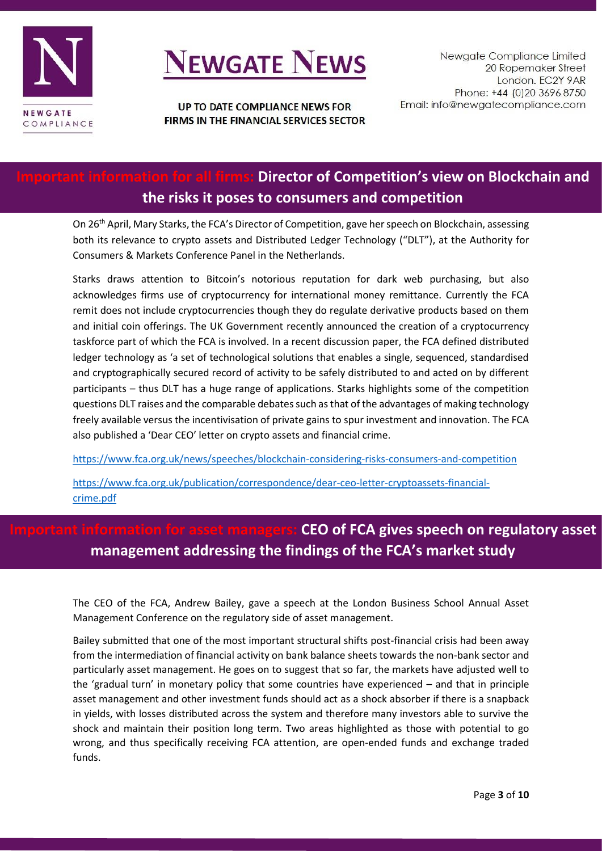

UP TO DATE COMPLIANCE NEWS FOR FIRMS IN THE FINANCIAL SERVICES SECTOR

### **Director of Competition's view on Blockchain and the risks it poses to consumers and competition**

On 26<sup>th</sup> April, Mary Starks, the FCA's Director of Competition, gave her speech on Blockchain, assessing both its relevance to crypto assets and Distributed Ledger Technology ("DLT"), at the Authority for Consumers & Markets Conference Panel in the Netherlands.

Starks draws attention to Bitcoin's notorious reputation for dark web purchasing, but also acknowledges firms use of cryptocurrency for international money remittance. Currently the FCA remit does not include cryptocurrencies though they do regulate derivative products based on them and initial coin offerings. The UK Government recently announced the creation of a cryptocurrency taskforce part of which the FCA is involved. In a recent discussion paper, the FCA defined distributed ledger technology as 'a set of technological solutions that enables a single, sequenced, standardised and cryptographically secured record of activity to be safely distributed to and acted on by different participants – thus DLT has a huge range of applications. Starks highlights some of the competition questions DLT raises and the comparable debates such as that of the advantages of making technology freely available versus the incentivisation of private gains to spur investment and innovation. The FCA also published a 'Dear CEO' letter on crypto assets and financial crime.

<https://www.fca.org.uk/news/speeches/blockchain-considering-risks-consumers-and-competition>

[https://www.fca.org.uk/publication/correspondence/dear-ceo-letter-cryptoassets-financial](https://www.fca.org.uk/publication/correspondence/dear-ceo-letter-cryptoassets-financial-crime.pdf)[crime.pdf](https://www.fca.org.uk/publication/correspondence/dear-ceo-letter-cryptoassets-financial-crime.pdf)

### **Important information for asset managers: CEO of FCA gives speech on regulatory asset management addressing the findings of the FCA's market study**

The CEO of the FCA, Andrew Bailey, gave a speech at the London Business School Annual Asset Management Conference on the regulatory side of asset management.

Bailey submitted that one of the most important structural shifts post-financial crisis had been away from the intermediation of financial activity on bank balance sheets towards the non-bank sector and particularly asset management. He goes on to suggest that so far, the markets have adjusted well to the 'gradual turn' in monetary policy that some countries have experienced – and that in principle asset management and other investment funds should act as a shock absorber if there is a snapback in yields, with losses distributed across the system and therefore many investors able to survive the shock and maintain their position long term. Two areas highlighted as those with potential to go wrong, and thus specifically receiving FCA attention, are open-ended funds and exchange traded funds.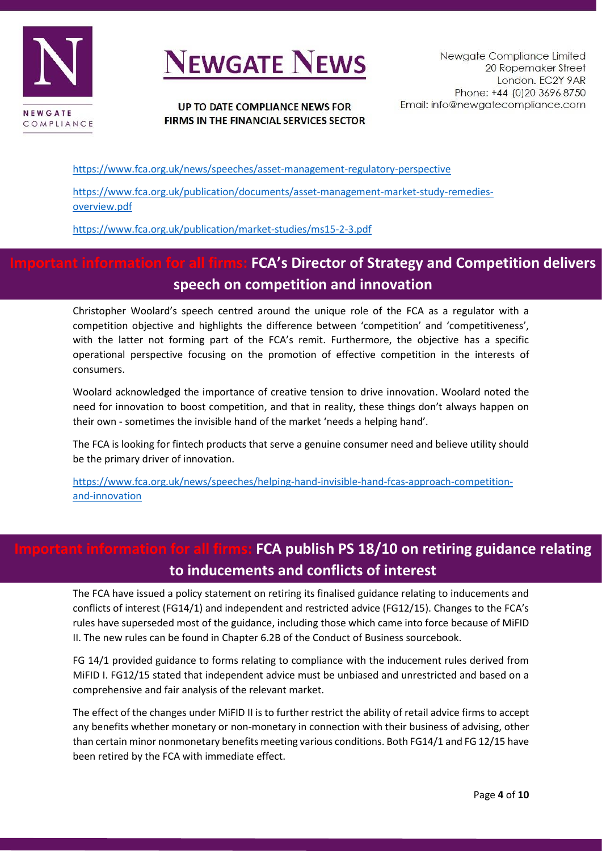

#### UP TO DATE COMPLIANCE NEWS FOR FIRMS IN THE FINANCIAL SERVICES SECTOR

<https://www.fca.org.uk/news/speeches/asset-management-regulatory-perspective>

[https://www.fca.org.uk/publication/documents/asset-management-market-study-remedies](https://www.fca.org.uk/publication/documents/asset-management-market-study-remedies-overview.pdf)[overview.pdf](https://www.fca.org.uk/publication/documents/asset-management-market-study-remedies-overview.pdf)

<https://www.fca.org.uk/publication/market-studies/ms15-2-3.pdf>

### **IDPORTH IMPORTH IMPORTH INTELY FIRMS: FIGATE FIRMS: FIGATE STRATE INTELY ATTE INTELY ATTE INTELY ATTE INTELY A speech on competition and innovation**

Christopher Woolard's speech centred around the unique role of the FCA as a regulator with a competition objective and highlights the difference between 'competition' and 'competitiveness', with the latter not forming part of the FCA's remit. Furthermore, the objective has a specific operational perspective focusing on the promotion of effective competition in the interests of consumers.

Woolard acknowledged the importance of creative tension to drive innovation. Woolard noted the need for innovation to boost competition, and that in reality, these things don't always happen on their own - sometimes the invisible hand of the market 'needs a helping hand'.

The FCA is looking for fintech products that serve a genuine consumer need and believe utility should be the primary driver of innovation.

[https://www.fca.org.uk/news/speeches/helping-hand-invisible-hand-fcas-approach-competition](https://www.fca.org.uk/news/speeches/helping-hand-invisible-hand-fcas-approach-competition-and-innovation)[and-innovation](https://www.fca.org.uk/news/speeches/helping-hand-invisible-hand-fcas-approach-competition-and-innovation)

### **Formation for all firms: FCA publish PS 18/10 on retiring guidance relating to inducements and conflicts of interest**

The FCA have issued a policy statement on retiring its finalised guidance relating to inducements and conflicts of interest (FG14/1) and independent and restricted advice (FG12/15). Changes to the FCA's rules have superseded most of the guidance, including those which came into force because of MiFID II. The new rules can be found in Chapter 6.2B of the Conduct of Business sourcebook.

FG 14/1 provided guidance to forms relating to compliance with the inducement rules derived from MiFID I. FG12/15 stated that independent advice must be unbiased and unrestricted and based on a comprehensive and fair analysis of the relevant market.

The effect of the changes under MiFID II is to further restrict the ability of retail advice firms to accept any benefits whether monetary or non-monetary in connection with their business of advising, other than certain minor nonmonetary benefits meeting various conditions. Both FG14/1 and FG 12/15 have been retired by the FCA with immediate effect.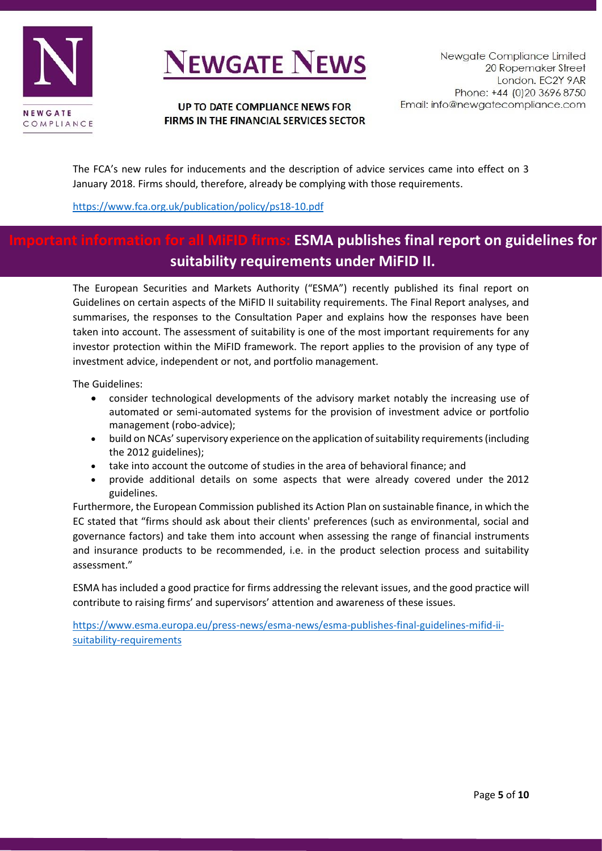

#### UP TO DATE COMPLIANCE NEWS FOR FIRMS IN THE FINANCIAL SERVICES SECTOR

The FCA's new rules for inducements and the description of advice services came into effect on 3 January 2018. Firms should, therefore, already be complying with those requirements.

<https://www.fca.org.uk/publication/policy/ps18-10.pdf>

### **IESMA publishes final report on guidelines for suitability requirements under MiFID II.**

The European Securities and Markets Authority ("ESMA") recently published its final report on Guidelines on certain aspects of the MiFID II suitability requirements. The Final Report analyses, and summarises, the responses to the Consultation Paper and explains how the responses have been taken into account. The assessment of suitability is one of the most important requirements for any investor protection within the MiFID framework. The report applies to the provision of any type of investment advice, independent or not, and portfolio management.

The Guidelines:

- consider technological developments of the advisory market notably the increasing use of automated or semi-automated systems for the provision of investment advice or portfolio management (robo-advice);
- build on NCAs' supervisory experience on the application of suitability requirements (including the 2012 guidelines);
- take into account the outcome of studies in the area of behavioral finance; and
- provide additional details on some aspects that were already covered under the 2012 guidelines.

Furthermore, the European Commission published its Action Plan on sustainable finance, in which the EC stated that "firms should ask about their clients' preferences (such as environmental, social and governance factors) and take them into account when assessing the range of financial instruments and insurance products to be recommended, i.e. in the product selection process and suitability assessment."

ESMA has included a good practice for firms addressing the relevant issues, and the good practice will contribute to raising firms' and supervisors' attention and awareness of these issues.

[https://www.esma.europa.eu/press-news/esma-news/esma-publishes-final-guidelines-mifid-ii](https://www.esma.europa.eu/press-news/esma-news/esma-publishes-final-guidelines-mifid-ii-suitability-requirements)[suitability-requirements](https://www.esma.europa.eu/press-news/esma-news/esma-publishes-final-guidelines-mifid-ii-suitability-requirements)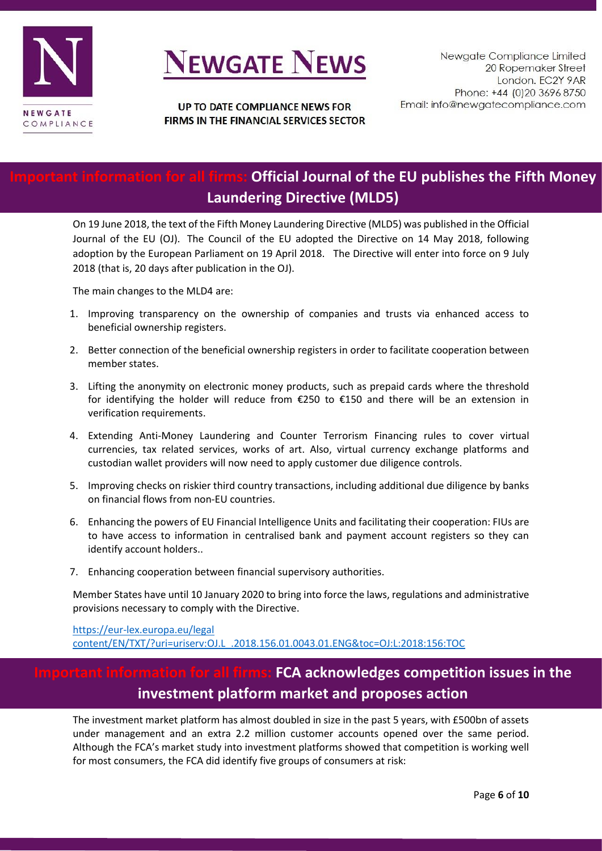

### **Official Journal of the EU publishes the Fifth Money Laundering Directive (MLD5)**

On 19 June 2018, the text of the Fifth Money Laundering Directive (MLD5) was published in the Official Journal of the EU (OJ). The Council of the EU adopted the Directive on 14 May 2018, following adoption by the European Parliament on 19 April 2018. The Directive will enter into force on 9 July 2018 (that is, 20 days after publication in the OJ).

The main changes to the MLD4 are:

- 1. Improving transparency on the ownership of companies and trusts via enhanced access to beneficial ownership registers.
- 2. Better connection of the beneficial ownership registers in order to facilitate cooperation between member states.
- 3. Lifting the anonymity on electronic money products, such as prepaid cards where the threshold for identifying the holder will reduce from €250 to €150 and there will be an extension in verification requirements.
- 4. Extending Anti-Money Laundering and Counter Terrorism Financing rules to cover virtual currencies, tax related services, works of art. Also, virtual currency exchange platforms and custodian wallet providers will now need to apply customer due diligence controls.
- 5. Improving checks on riskier third country transactions, including additional due diligence by banks on financial flows from non-EU countries.
- 6. Enhancing the powers of EU Financial Intelligence Units and facilitating their cooperation: FIUs are to have access to information in centralised bank and payment account registers so they can identify account holders..
- 7. Enhancing cooperation between financial supervisory authorities.

Member States have until 10 January 2020 to bring into force the laws, regulations and administrative provisions necessary to comply with the Directive.

[https://eur-lex.europa.eu/legal](https://eur-lex.europa.eu/legal%20content/EN/TXT/?uri=uriserv:OJ.L_.2018.156.01.0043.01.ENG&toc=OJ:L:2018:156:TOC)  [content/EN/TXT/?uri=uriserv:OJ.L\\_.2018.156.01.0043.01.ENG&toc=OJ:L:2018:156:TOC](https://eur-lex.europa.eu/legal%20content/EN/TXT/?uri=uriserv:OJ.L_.2018.156.01.0043.01.ENG&toc=OJ:L:2018:156:TOC) 

### **FCA acknowledges competition issues in the investment platform market and proposes action**

The investment market platform has almost doubled in size in the past 5 years, with £500bn of assets under management and an extra 2.2 million customer accounts opened over the same period. Although the FCA's market study into investment platforms showed that competition is working well for most consumers, the FCA did identify five groups of consumers at risk: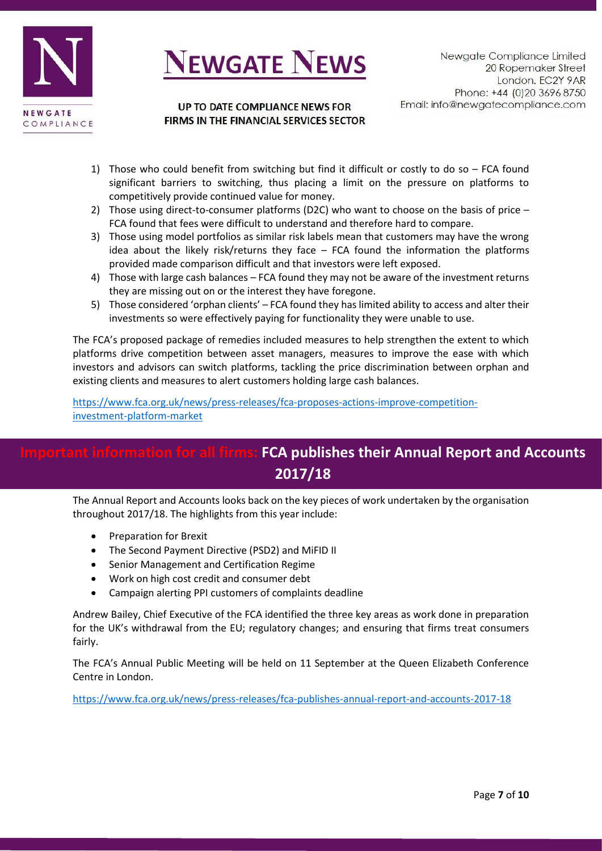

#### UP TO DATE COMPLIANCE NEWS FOR FIRMS IN THE FINANCIAL SERVICES SECTOR

- 1) Those who could benefit from switching but find it difficult or costly to do so  $-$  FCA found significant barriers to switching, thus placing a limit on the pressure on platforms to competitively provide continued value for money.
- 2) Those using direct-to-consumer platforms (D2C) who want to choose on the basis of price FCA found that fees were difficult to understand and therefore hard to compare.
- 3) Those using model portfolios as similar risk labels mean that customers may have the wrong idea about the likely risk/returns they face – FCA found the information the platforms provided made comparison difficult and that investors were left exposed.
- 4) Those with large cash balances FCA found they may not be aware of the investment returns they are missing out on or the interest they have foregone.
- 5) Those considered 'orphan clients' FCA found they has limited ability to access and alter their investments so were effectively paying for functionality they were unable to use.

The FCA's proposed package of remedies included measures to help strengthen the extent to which platforms drive competition between asset managers, measures to improve the ease with which investors and advisors can switch platforms, tackling the price discrimination between orphan and existing clients and measures to alert customers holding large cash balances.

[https://www.fca.org.uk/news/press-releases/fca-proposes-actions-improve-competition](https://www.fca.org.uk/news/press-releases/fca-proposes-actions-improve-competition-investment-platform-market)[investment-platform-market](https://www.fca.org.uk/news/press-releases/fca-proposes-actions-improve-competition-investment-platform-market) 

### **Important information for all firms: FCA publishes their Annual Report and Accounts 2017/18**

The Annual Report and Accounts looks back on the key pieces of work undertaken by the organisation throughout 2017/18. The highlights from this year include:

- Preparation for Brexit
- The Second Payment Directive (PSD2) and MiFID II
- Senior Management and Certification Regime
- Work on high cost credit and consumer debt
- Campaign alerting PPI customers of complaints deadline

Andrew Bailey, Chief Executive of the FCA identified the three key areas as work done in preparation for the UK's withdrawal from the EU; regulatory changes; and ensuring that firms treat consumers fairly.

The FCA's Annual Public Meeting will be held on 11 September at the Queen Elizabeth Conference Centre in London.

<https://www.fca.org.uk/news/press-releases/fca-publishes-annual-report-and-accounts-2017-18>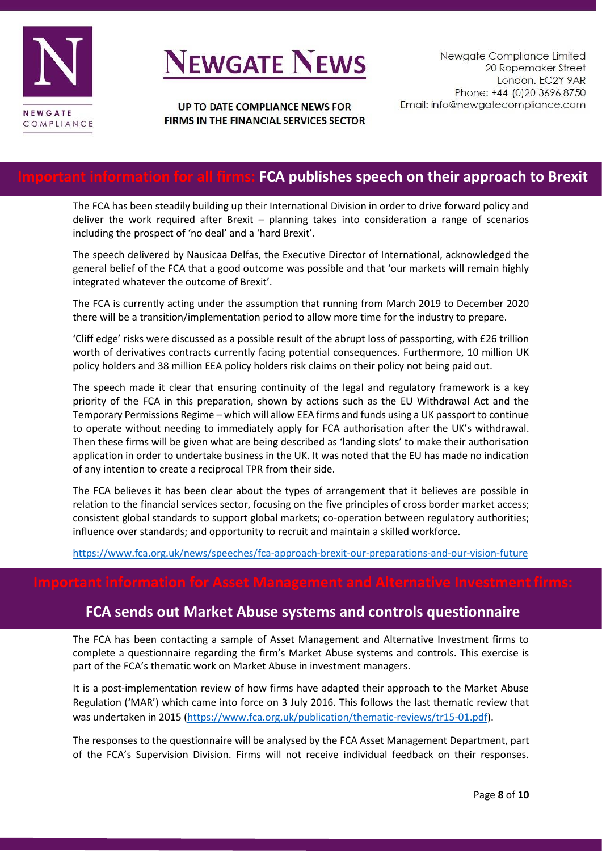

#### UP TO DATE COMPLIANCE NEWS FOR FIRMS IN THE FINANCIAL SERVICES SECTOR

#### **For all firms: FCA publishes speech on their approach to Brexit**

The FCA has been steadily building up their International Division in order to drive forward policy and deliver the work required after Brexit – planning takes into consideration a range of scenarios including the prospect of 'no deal' and a 'hard Brexit'.

The speech delivered by Nausicaa Delfas, the Executive Director of International, acknowledged the general belief of the FCA that a good outcome was possible and that 'our markets will remain highly integrated whatever the outcome of Brexit'.

The FCA is currently acting under the assumption that running from March 2019 to December 2020 there will be a transition/implementation period to allow more time for the industry to prepare.

'Cliff edge' risks were discussed as a possible result of the abrupt loss of passporting, with £26 trillion worth of derivatives contracts currently facing potential consequences. Furthermore, 10 million UK policy holders and 38 million EEA policy holders risk claims on their policy not being paid out.

The speech made it clear that ensuring continuity of the legal and regulatory framework is a key priority of the FCA in this preparation, shown by actions such as the EU Withdrawal Act and the Temporary Permissions Regime – which will allow EEA firms and funds using a UK passport to continue to operate without needing to immediately apply for FCA authorisation after the UK's withdrawal. Then these firms will be given what are being described as 'landing slots' to make their authorisation application in order to undertake business in the UK. It was noted that the EU has made no indication of any intention to create a reciprocal TPR from their side.

The FCA believes it has been clear about the types of arrangement that it believes are possible in relation to the financial services sector, focusing on the five principles of cross border market access; consistent global standards to support global markets; co-operation between regulatory authorities; influence over standards; and opportunity to recruit and maintain a skilled workforce.

<https://www.fca.org.uk/news/speeches/fca-approach-brexit-our-preparations-and-our-vision-future>

#### **FCA sends out Market Abuse systems and controls questionnaire**

The FCA has been contacting a sample of Asset Management and Alternative Investment firms to complete a questionnaire regarding the firm's Market Abuse systems and controls. This exercise is part of the FCA's thematic work on Market Abuse in investment managers.

It is a post-implementation review of how firms have adapted their approach to the Market Abuse Regulation ('MAR') which came into force on 3 July 2016. This follows the last thematic review that was undertaken in 2015 [\(https://www.fca.org.uk/publication/thematic-reviews/tr15-01.pdf\)](https://www.fca.org.uk/publication/thematic-reviews/tr15-01.pdf).

The responses to the questionnaire will be analysed by the FCA Asset Management Department, part of the FCA's Supervision Division. Firms will not receive individual feedback on their responses.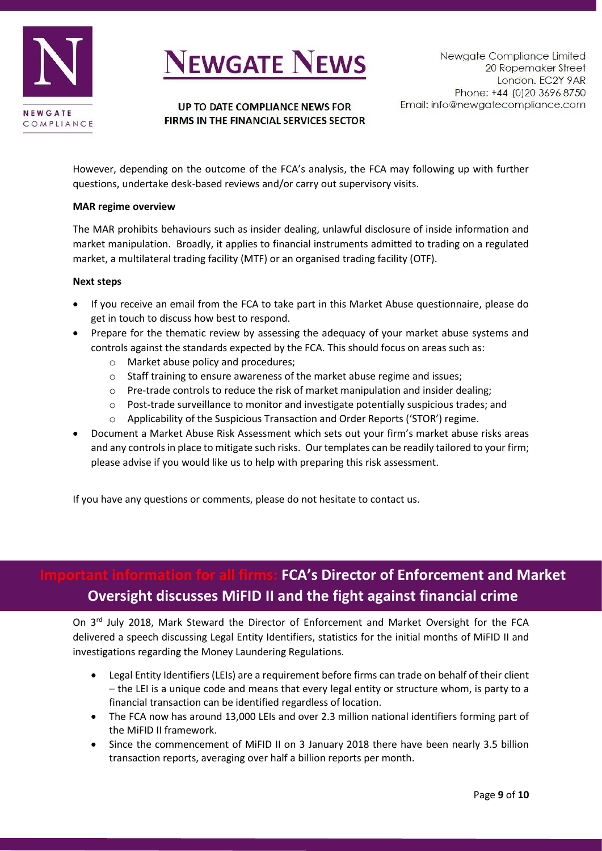

UP TO DATE COMPLIANCE NEWS FOR FIRMS IN THE FINANCIAL SERVICES SECTOR

However, depending on the outcome of the FCA's analysis, the FCA may following up with further questions, undertake desk-based reviews and/or carry out supervisory visits.

#### **MAR regime overview**

The MAR prohibits behaviours such as insider dealing, unlawful disclosure of inside information and market manipulation. Broadly, it applies to financial instruments admitted to trading on a regulated market, a multilateral trading facility (MTF) or an organised trading facility (OTF).

#### **Next steps**

- If you receive an email from the FCA to take part in this Market Abuse questionnaire, please do get in touch to discuss how best to respond.
- Prepare for the thematic review by assessing the adequacy of your market abuse systems and controls against the standards expected by the FCA. This should focus on areas such as:
	- o Market abuse policy and procedures;
	- o Staff training to ensure awareness of the market abuse regime and issues;
	- $\circ$  Pre-trade controls to reduce the risk of market manipulation and insider dealing;
	- o Post-trade surveillance to monitor and investigate potentially suspicious trades; and
	- $\circ$  Applicability of the Suspicious Transaction and Order Reports ('STOR') regime.
- Document a Market Abuse Risk Assessment which sets out your firm's market abuse risks areas and any controls in place to mitigate such risks. Our templates can be readily tailored to your firm; please advise if you would like us to help with preparing this risk assessment.

If you have any questions or comments, please do not hesitate to contact us.

### **Important information for all firms: FCA's Director of Enforcement and Market Oversight discusses MiFID II and the fight against financial crime**

On 3<sup>rd</sup> July 2018, Mark Steward the Director of Enforcement and Market Oversight for the FCA delivered a speech discussing Legal Entity Identifiers, statistics for the initial months of MiFID II and investigations regarding the Money Laundering Regulations.

- Legal Entity Identifiers (LEIs) are a requirement before firms can trade on behalf of their client – the LEI is a unique code and means that every legal entity or structure whom, is party to a financial transaction can be identified regardless of location.
- The FCA now has around 13,000 LEIs and over 2.3 million national identifiers forming part of the MiFID II framework.
- Since the commencement of MiFID II on 3 January 2018 there have been nearly 3.5 billion transaction reports, averaging over half a billion reports per month.